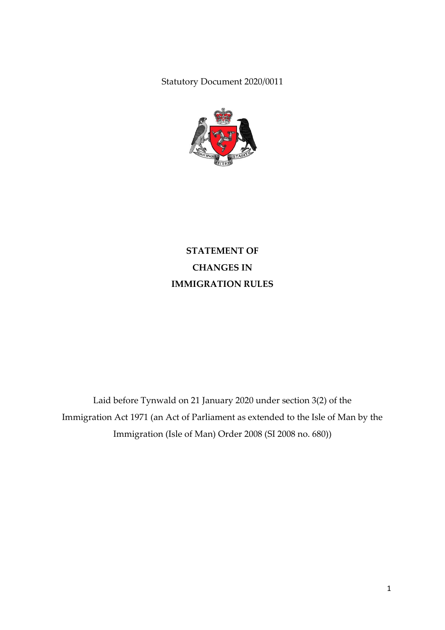Statutory Document 2020/0011



**STATEMENT OF CHANGES IN IMMIGRATION RULES**

Laid before Tynwald on 21 January 2020 under section 3(2) of the Immigration Act 1971 (an Act of Parliament as extended to the Isle of Man by the Immigration (Isle of Man) Order 2008 (SI 2008 no. 680))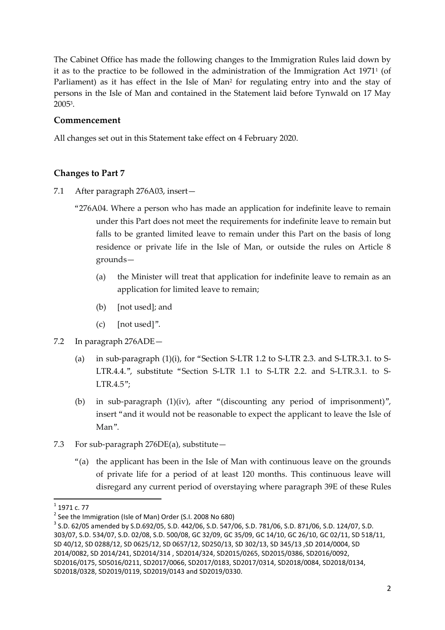The Cabinet Office has made the following changes to the Immigration Rules laid down by it as to the practice to be followed in the administration of the Immigration Act  $1971<sup>1</sup>$  (of Parliament) as it has effect in the Isle of Man<sup>2</sup> for regulating entry into and the stay of persons in the Isle of Man and contained in the Statement laid before Tynwald on 17 May 2005<sup>3</sup> .

# **Commencement**

All changes set out in this Statement take effect on 4 February 2020.

# **Changes to Part 7**

- 7.1 After paragraph 276A03, insert—
	- "276A04. Where a person who has made an application for indefinite leave to remain under this Part does not meet the requirements for indefinite leave to remain but falls to be granted limited leave to remain under this Part on the basis of long residence or private life in the Isle of Man, or outside the rules on Article 8 grounds—
		- (a) the Minister will treat that application for indefinite leave to remain as an application for limited leave to remain;
		- (b) [not used]; and
		- (c) [not used]".
- 7.2 In paragraph 276ADE—
	- (a) in sub-paragraph (1)(i), for "Section S-LTR 1.2 to S-LTR 2.3. and S-LTR.3.1. to S-LTR.4.4.", substitute "Section S-LTR 1.1 to S-LTR 2.2. and S-LTR.3.1. to S-LTR.4.5";
	- (b) in sub-paragraph (1)(iv), after "(discounting any period of imprisonment)", insert "and it would not be reasonable to expect the applicant to leave the Isle of Man".
- 7.3 For sub-paragraph 276DE(a), substitute—
	- "(a) the applicant has been in the Isle of Man with continuous leave on the grounds of private life for a period of at least 120 months. This continuous leave will disregard any current period of overstaying where paragraph 39E of these Rules

**.** 

 $^{1}$  1971 c. 77

<sup>&</sup>lt;sup>2</sup> See the Immigration (Isle of Man) Order (S.I. 2008 No 680)

<sup>3</sup> S.D. 62/05 amended by S.D.692/05, S.D. 442/06, S.D. 547/06, S.D. 781/06, S.D. 871/06, S.D. 124/07, S.D. 303/07, S.D. 534/07, S.D. 02/08, S.D. 500/08, GC 32/09, GC 35/09, GC 14/10, GC 26/10, GC 02/11, SD 518/11, SD 40/12, SD 0288/12, SD 0625/12, SD 0657/12, SD250/13, SD 302/13, SD 345/13 ,SD 2014/0004, SD 2014/0082, SD 2014/241, SD2014/314 , SD2014/324, SD2015/0265, SD2015/0386, SD2016/0092, SD2016/0175, SD5016/0211, SD2017/0066, SD2017/0183, SD2017/0314, SD2018/0084, SD2018/0134, SD2018/0328, SD2019/0119, SD2019/0143 and SD2019/0330.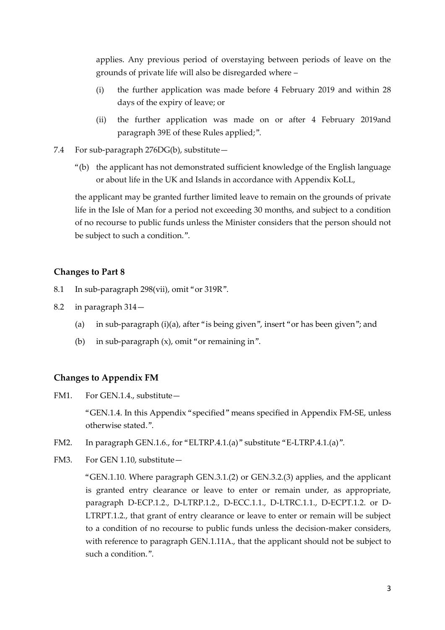applies. Any previous period of overstaying between periods of leave on the grounds of private life will also be disregarded where –

- (i) the further application was made before 4 February 2019 and within 28 days of the expiry of leave; or
- (ii) the further application was made on or after 4 February 2019and paragraph 39E of these Rules applied;".
- 7.4 For sub-paragraph 276DG(b), substitute—
	- "(b) the applicant has not demonstrated sufficient knowledge of the English language or about life in the UK and Islands in accordance with Appendix KoLL,

the applicant may be granted further limited leave to remain on the grounds of private life in the Isle of Man for a period not exceeding 30 months, and subject to a condition of no recourse to public funds unless the Minister considers that the person should not be subject to such a condition.".

### **Changes to Part 8**

- 8.1 In sub-paragraph 298(vii), omit "or 319R".
- 8.2 in paragraph 314—
	- (a) in sub-paragraph (i)(a), after "is being given", insert "or has been given"; and
	- (b) in sub-paragraph (x), omit "or remaining in".

# **Changes to Appendix FM**

FM1. For GEN.1.4., substitute-

"GEN.1.4. In this Appendix "specified" means specified in Appendix FM-SE, unless otherwise stated.".

- FM2. In paragraph GEN.1.6., for "ELTRP.4.1.(a)" substitute "E-LTRP.4.1.(a)".
- FM3. For GEN 1.10, substitute—

"GEN.1.10. Where paragraph GEN.3.1.(2) or GEN.3.2.(3) applies, and the applicant is granted entry clearance or leave to enter or remain under, as appropriate, paragraph D-ECP.1.2., D-LTRP.1.2., D-ECC.1.1., D-LTRC.1.1., D-ECPT.1.2. or D-LTRPT.1.2., that grant of entry clearance or leave to enter or remain will be subject to a condition of no recourse to public funds unless the decision-maker considers, with reference to paragraph GEN.1.11A., that the applicant should not be subject to such a condition.".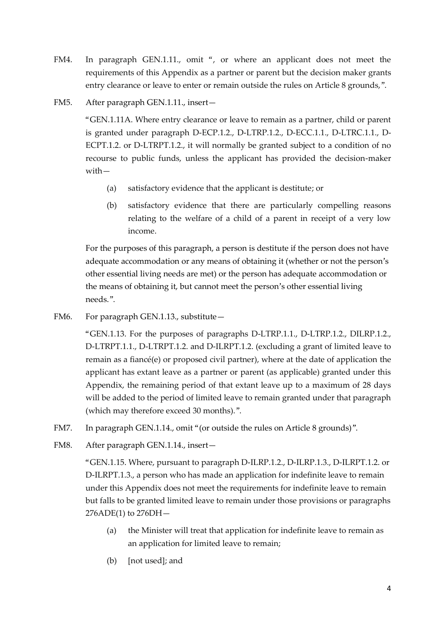- FM4. In paragraph GEN.1.11., omit ", or where an applicant does not meet the requirements of this Appendix as a partner or parent but the decision maker grants entry clearance or leave to enter or remain outside the rules on Article 8 grounds,".
- FM5. After paragraph GEN.1.11., insert—

"GEN.1.11A. Where entry clearance or leave to remain as a partner, child or parent is granted under paragraph D-ECP.1.2., D-LTRP.1.2., D-ECC.1.1., D-LTRC.1.1., D-ECPT.1.2. or D-LTRPT.1.2., it will normally be granted subject to a condition of no recourse to public funds, unless the applicant has provided the decision-maker with—

- (a) satisfactory evidence that the applicant is destitute; or
- (b) satisfactory evidence that there are particularly compelling reasons relating to the welfare of a child of a parent in receipt of a very low income.

For the purposes of this paragraph, a person is destitute if the person does not have adequate accommodation or any means of obtaining it (whether or not the person's other essential living needs are met) or the person has adequate accommodation or the means of obtaining it, but cannot meet the person's other essential living needs.".

FM6. For paragraph GEN.1.13., substitute—

"GEN.1.13. For the purposes of paragraphs D-LTRP.1.1., D-LTRP.1.2., DILRP.1.2., D-LTRPT.1.1., D-LTRPT.1.2. and D-ILRPT.1.2. (excluding a grant of limited leave to remain as a fiancé(e) or proposed civil partner), where at the date of application the applicant has extant leave as a partner or parent (as applicable) granted under this Appendix, the remaining period of that extant leave up to a maximum of 28 days will be added to the period of limited leave to remain granted under that paragraph (which may therefore exceed 30 months).".

- FM7. In paragraph GEN.1.14., omit "(or outside the rules on Article 8 grounds)".
- FM8. After paragraph GEN.1.14., insert—

"GEN.1.15. Where, pursuant to paragraph D-ILRP.1.2., D-ILRP.1.3., D-ILRPT.1.2. or D-ILRPT.1.3., a person who has made an application for indefinite leave to remain under this Appendix does not meet the requirements for indefinite leave to remain but falls to be granted limited leave to remain under those provisions or paragraphs 276ADE(1) to 276DH—

- (a) the Minister will treat that application for indefinite leave to remain as an application for limited leave to remain;
- (b) [not used]; and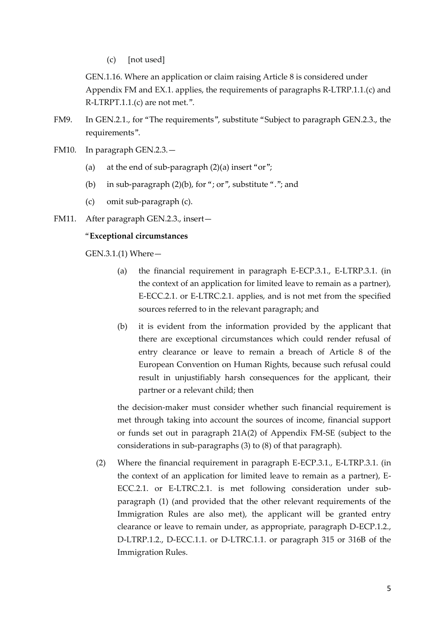(c) [not used]

GEN.1.16. Where an application or claim raising Article 8 is considered under Appendix FM and EX.1. applies, the requirements of paragraphs R-LTRP.1.1.(c) and R-LTRPT.1.1.(c) are not met.".

- FM9. In GEN.2.1., for "The requirements", substitute "Subject to paragraph GEN.2.3., the requirements".
- FM10. In paragraph GEN.2.3.—
	- (a) at the end of sub-paragraph  $(2)(a)$  insert "or";
	- (b) in sub-paragraph  $(2)(b)$ , for "; or ", substitute "."; and
	- (c) omit sub-paragraph (c).
- FM11. After paragraph GEN.2.3., insert—

#### "**Exceptional circumstances**

GEN.3.1.(1) Where—

- (a) the financial requirement in paragraph E-ECP.3.1., E-LTRP.3.1. (in the context of an application for limited leave to remain as a partner), E-ECC.2.1. or E-LTRC.2.1. applies, and is not met from the specified sources referred to in the relevant paragraph; and
- (b) it is evident from the information provided by the applicant that there are exceptional circumstances which could render refusal of entry clearance or leave to remain a breach of Article 8 of the European Convention on Human Rights, because such refusal could result in unjustifiably harsh consequences for the applicant, their partner or a relevant child; then

the decision-maker must consider whether such financial requirement is met through taking into account the sources of income, financial support or funds set out in paragraph 21A(2) of Appendix FM-SE (subject to the considerations in sub-paragraphs (3) to (8) of that paragraph).

(2) Where the financial requirement in paragraph E-ECP.3.1., E-LTRP.3.1. (in the context of an application for limited leave to remain as a partner), E-ECC.2.1. or E-LTRC.2.1. is met following consideration under subparagraph (1) (and provided that the other relevant requirements of the Immigration Rules are also met), the applicant will be granted entry clearance or leave to remain under, as appropriate, paragraph D-ECP.1.2., D-LTRP.1.2., D-ECC.1.1. or D-LTRC.1.1. or paragraph 315 or 316B of the Immigration Rules.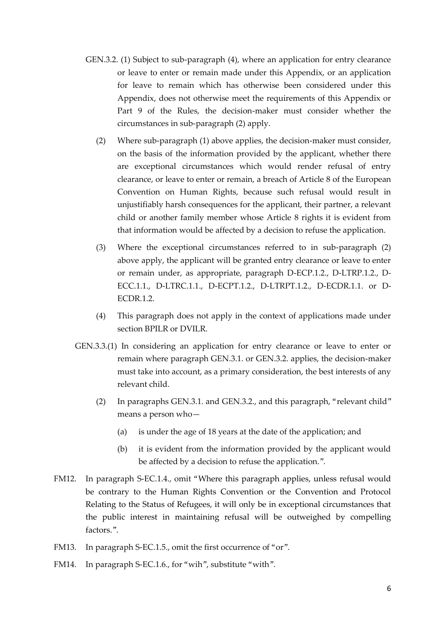- GEN.3.2. (1) Subject to sub-paragraph (4), where an application for entry clearance or leave to enter or remain made under this Appendix, or an application for leave to remain which has otherwise been considered under this Appendix, does not otherwise meet the requirements of this Appendix or Part 9 of the Rules, the decision-maker must consider whether the circumstances in sub-paragraph (2) apply.
	- (2) Where sub-paragraph (1) above applies, the decision-maker must consider, on the basis of the information provided by the applicant, whether there are exceptional circumstances which would render refusal of entry clearance, or leave to enter or remain, a breach of Article 8 of the European Convention on Human Rights, because such refusal would result in unjustifiably harsh consequences for the applicant, their partner, a relevant child or another family member whose Article 8 rights it is evident from that information would be affected by a decision to refuse the application.
	- (3) Where the exceptional circumstances referred to in sub-paragraph (2) above apply, the applicant will be granted entry clearance or leave to enter or remain under, as appropriate, paragraph D-ECP.1.2., D-LTRP.1.2., D-ECC.1.1., D-LTRC.1.1., D-ECPT.1.2., D-LTRPT.1.2., D-ECDR.1.1. or D-ECDR.1.2.
	- (4) This paragraph does not apply in the context of applications made under section BPILR or DVILR.
- GEN.3.3.(1) In considering an application for entry clearance or leave to enter or remain where paragraph GEN.3.1. or GEN.3.2. applies, the decision-maker must take into account, as a primary consideration, the best interests of any relevant child.
	- (2) In paragraphs GEN.3.1. and GEN.3.2., and this paragraph, "relevant child" means a person who—
		- (a) is under the age of 18 years at the date of the application; and
		- (b) it is evident from the information provided by the applicant would be affected by a decision to refuse the application.".
- FM12. In paragraph S-EC.1.4., omit "Where this paragraph applies, unless refusal would be contrary to the Human Rights Convention or the Convention and Protocol Relating to the Status of Refugees, it will only be in exceptional circumstances that the public interest in maintaining refusal will be outweighed by compelling factors.".
- FM13. In paragraph S-EC.1.5., omit the first occurrence of "or".
- FM14. In paragraph S-EC.1.6., for "wih", substitute "with".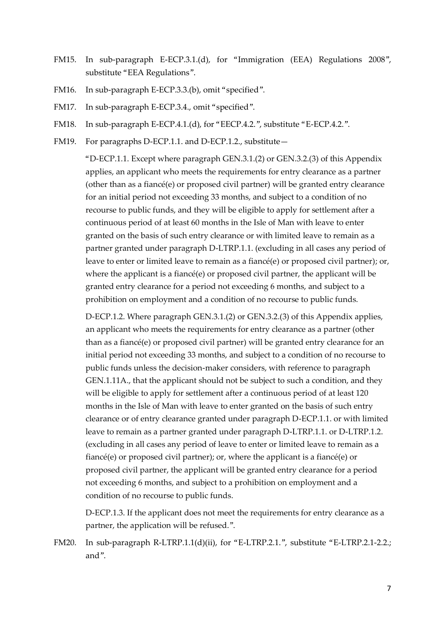- FM15. In sub-paragraph E-ECP.3.1.(d), for "Immigration (EEA) Regulations 2008", substitute "EEA Regulations".
- FM16. In sub-paragraph E-ECP.3.3.(b), omit "specified".
- FM17. In sub-paragraph E-ECP.3.4., omit "specified".
- FM18. In sub-paragraph E-ECP.4.1.(d), for "EECP.4.2.", substitute "E-ECP.4.2.".
- FM19. For paragraphs D-ECP.1.1. and D-ECP.1.2., substitute—

"D-ECP.1.1. Except where paragraph GEN.3.1.(2) or GEN.3.2.(3) of this Appendix applies, an applicant who meets the requirements for entry clearance as a partner (other than as a fiancé(e) or proposed civil partner) will be granted entry clearance for an initial period not exceeding 33 months, and subject to a condition of no recourse to public funds, and they will be eligible to apply for settlement after a continuous period of at least 60 months in the Isle of Man with leave to enter granted on the basis of such entry clearance or with limited leave to remain as a partner granted under paragraph D-LTRP.1.1. (excluding in all cases any period of leave to enter or limited leave to remain as a fiancé(e) or proposed civil partner); or, where the applicant is a fiancé(e) or proposed civil partner, the applicant will be granted entry clearance for a period not exceeding 6 months, and subject to a prohibition on employment and a condition of no recourse to public funds.

D-ECP.1.2. Where paragraph GEN.3.1.(2) or GEN.3.2.(3) of this Appendix applies, an applicant who meets the requirements for entry clearance as a partner (other than as a fiancé(e) or proposed civil partner) will be granted entry clearance for an initial period not exceeding 33 months, and subject to a condition of no recourse to public funds unless the decision-maker considers, with reference to paragraph GEN.1.11A., that the applicant should not be subject to such a condition, and they will be eligible to apply for settlement after a continuous period of at least 120 months in the Isle of Man with leave to enter granted on the basis of such entry clearance or of entry clearance granted under paragraph D-ECP.1.1. or with limited leave to remain as a partner granted under paragraph D-LTRP.1.1. or D-LTRP.1.2. (excluding in all cases any period of leave to enter or limited leave to remain as a fiancé(e) or proposed civil partner); or, where the applicant is a fiancé(e) or proposed civil partner, the applicant will be granted entry clearance for a period not exceeding 6 months, and subject to a prohibition on employment and a condition of no recourse to public funds.

D-ECP.1.3. If the applicant does not meet the requirements for entry clearance as a partner, the application will be refused.".

FM20. In sub-paragraph R-LTRP.1.1(d)(ii), for "E-LTRP.2.1.", substitute "E-LTRP.2.1-2.2.; and".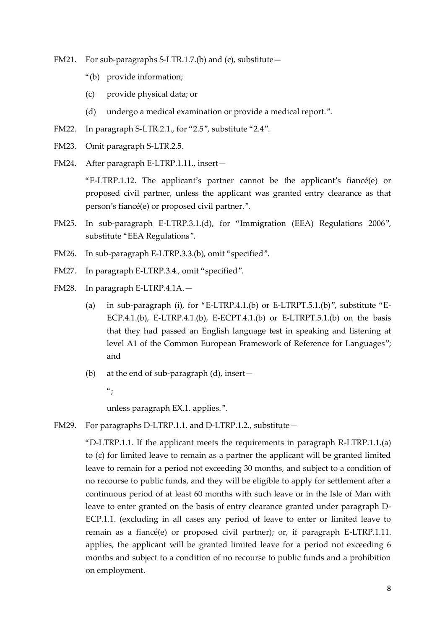- FM21. For sub-paragraphs S-LTR.1.7.(b) and (c), substitute  $-$ 
	- "(b) provide information;
	- (c) provide physical data; or
	- (d) undergo a medical examination or provide a medical report.".
- FM22. In paragraph S-LTR.2.1., for "2.5", substitute "2.4".
- FM23. Omit paragraph S-LTR.2.5.
- FM24. After paragraph E-LTRP.1.11., insert—

"E-LTRP.1.12. The applicant's partner cannot be the applicant's fiancé(e) or proposed civil partner, unless the applicant was granted entry clearance as that person's fiancé(e) or proposed civil partner.".

- FM25. In sub-paragraph E-LTRP.3.1.(d), for "Immigration (EEA) Regulations 2006", substitute "EEA Regulations".
- FM26. In sub-paragraph E-LTRP.3.3.(b), omit "specified".
- FM27. In paragraph E-LTRP.3.4., omit "specified".
- FM28. In paragraph E-LTRP.4.1A.—
	- (a) in sub-paragraph (i), for "E-LTRP.4.1.(b) or E-LTRPT.5.1.(b)", substitute "E-ECP.4.1.(b), E-LTRP.4.1.(b), E-ECPT.4.1.(b) or E-LTRPT.5.1.(b) on the basis that they had passed an English language test in speaking and listening at level A1 of the Common European Framework of Reference for Languages"; and
	- (b) at the end of sub-paragraph (d), insert—
		- $\mathcal{C}$ ;

unless paragraph EX.1. applies.".

FM29. For paragraphs D-LTRP.1.1. and D-LTRP.1.2., substitute—

"D-LTRP.1.1. If the applicant meets the requirements in paragraph R-LTRP.1.1.(a) to (c) for limited leave to remain as a partner the applicant will be granted limited leave to remain for a period not exceeding 30 months, and subject to a condition of no recourse to public funds, and they will be eligible to apply for settlement after a continuous period of at least 60 months with such leave or in the Isle of Man with leave to enter granted on the basis of entry clearance granted under paragraph D-ECP.1.1. (excluding in all cases any period of leave to enter or limited leave to remain as a fiancé(e) or proposed civil partner); or, if paragraph E-LTRP.1.11. applies, the applicant will be granted limited leave for a period not exceeding 6 months and subject to a condition of no recourse to public funds and a prohibition on employment.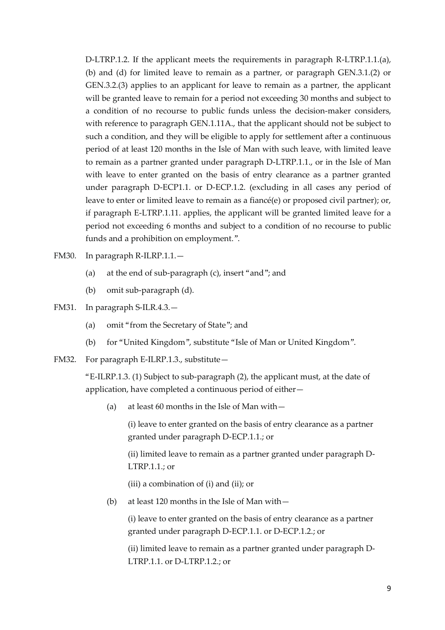D-LTRP.1.2. If the applicant meets the requirements in paragraph R-LTRP.1.1.(a), (b) and (d) for limited leave to remain as a partner, or paragraph GEN.3.1.(2) or GEN.3.2.(3) applies to an applicant for leave to remain as a partner, the applicant will be granted leave to remain for a period not exceeding 30 months and subject to a condition of no recourse to public funds unless the decision-maker considers, with reference to paragraph GEN.1.11A., that the applicant should not be subject to such a condition, and they will be eligible to apply for settlement after a continuous period of at least 120 months in the Isle of Man with such leave, with limited leave to remain as a partner granted under paragraph D-LTRP.1.1., or in the Isle of Man with leave to enter granted on the basis of entry clearance as a partner granted under paragraph D-ECP1.1. or D-ECP.1.2. (excluding in all cases any period of leave to enter or limited leave to remain as a fiancé(e) or proposed civil partner); or, if paragraph E-LTRP.1.11. applies, the applicant will be granted limited leave for a period not exceeding 6 months and subject to a condition of no recourse to public funds and a prohibition on employment.".

- FM30. In paragraph R-ILRP.1.1.—
	- (a) at the end of sub-paragraph (c), insert "and"; and
	- (b) omit sub-paragraph (d).
- FM31. In paragraph S-ILR.4.3.—
	- (a) omit "from the Secretary of State"; and
	- (b) for "United Kingdom", substitute "Isle of Man or United Kingdom".
- FM32. For paragraph E-ILRP.1.3., substitute—

"E-ILRP.1.3. (1) Subject to sub-paragraph (2), the applicant must, at the date of application, have completed a continuous period of either—

(a) at least 60 months in the Isle of Man with—

(i) leave to enter granted on the basis of entry clearance as a partner granted under paragraph D-ECP.1.1.; or

(ii) limited leave to remain as a partner granted under paragraph D-LTRP.1.1.; or

(iii) a combination of (i) and (ii); or

(b) at least 120 months in the Isle of Man with—

(i) leave to enter granted on the basis of entry clearance as a partner granted under paragraph D-ECP.1.1. or D-ECP.1.2.; or

(ii) limited leave to remain as a partner granted under paragraph D-LTRP.1.1. or D-LTRP.1.2.; or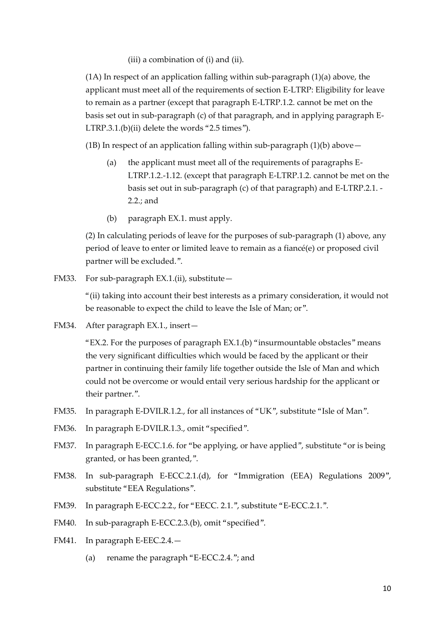(iii) a combination of (i) and (ii).

(1A) In respect of an application falling within sub-paragraph (1)(a) above, the applicant must meet all of the requirements of section E-LTRP: Eligibility for leave to remain as a partner (except that paragraph E-LTRP.1.2. cannot be met on the basis set out in sub-paragraph (c) of that paragraph, and in applying paragraph E-LTRP.3.1.(b)(ii) delete the words "2.5 times").

(1B) In respect of an application falling within sub-paragraph  $(1)(b)$  above –

- (a) the applicant must meet all of the requirements of paragraphs E-LTRP.1.2.-1.12. (except that paragraph E-LTRP.1.2. cannot be met on the basis set out in sub-paragraph (c) of that paragraph) and E-LTRP.2.1. - 2.2.; and
- (b) paragraph EX.1. must apply.

(2) In calculating periods of leave for the purposes of sub-paragraph (1) above, any period of leave to enter or limited leave to remain as a fiancé(e) or proposed civil partner will be excluded.".

FM33. For sub-paragraph EX.1.(ii), substitute—

"(ii) taking into account their best interests as a primary consideration, it would not be reasonable to expect the child to leave the Isle of Man; or".

FM34. After paragraph EX.1., insert—

"EX.2. For the purposes of paragraph EX.1.(b) "insurmountable obstacles" means the very significant difficulties which would be faced by the applicant or their partner in continuing their family life together outside the Isle of Man and which could not be overcome or would entail very serious hardship for the applicant or their partner.".

- FM35. In paragraph E-DVILR.1.2., for all instances of "UK", substitute "Isle of Man".
- FM36. In paragraph E-DVILR.1.3., omit "specified".
- FM37. In paragraph E-ECC.1.6. for "be applying, or have applied", substitute "or is being granted, or has been granted,".
- FM38. In sub-paragraph E-ECC.2.1.(d), for "Immigration (EEA) Regulations 2009", substitute "EEA Regulations".
- FM39. In paragraph E-ECC.2.2., for "EECC. 2.1.", substitute "E-ECC.2.1.".
- FM40. In sub-paragraph E-ECC.2.3.(b), omit "specified".
- FM41. In paragraph E-EEC.2.4.—
	- (a) rename the paragraph "E-ECC.2.4."; and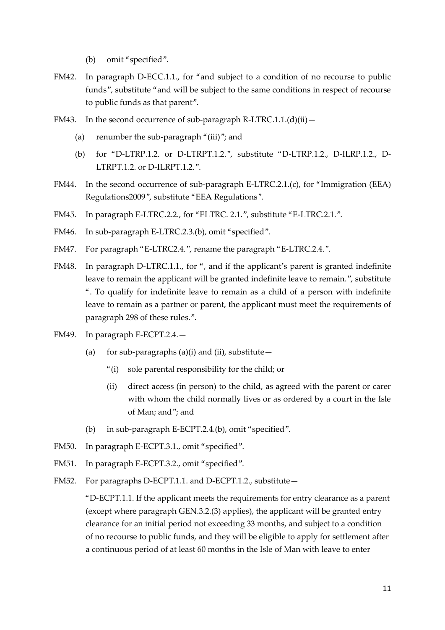- (b) omit "specified".
- FM42. In paragraph D-ECC.1.1., for "and subject to a condition of no recourse to public funds", substitute "and will be subject to the same conditions in respect of recourse to public funds as that parent".
- FM43. In the second occurrence of sub-paragraph R-LTRC.1.1. $(d)(ii)$ 
	- (a) renumber the sub-paragraph "(iii)"; and
	- (b) for "D-LTRP.1.2. or D-LTRPT.1.2.", substitute "D-LTRP.1.2., D-ILRP.1.2., D-LTRPT.1.2. or D-ILRPT.1.2.".
- FM44. In the second occurrence of sub-paragraph E-LTRC.2.1.(c), for "Immigration (EEA) Regulations2009", substitute "EEA Regulations".
- FM45. In paragraph E-LTRC.2.2., for "ELTRC. 2.1.", substitute "E-LTRC.2.1.".
- FM46. In sub-paragraph E-LTRC.2.3.(b), omit "specified".
- FM47. For paragraph "E-LTRC2.4.", rename the paragraph "E-LTRC.2.4.".
- FM48. In paragraph D-LTRC.1.1., for ", and if the applicant's parent is granted indefinite leave to remain the applicant will be granted indefinite leave to remain.", substitute ". To qualify for indefinite leave to remain as a child of a person with indefinite leave to remain as a partner or parent, the applicant must meet the requirements of paragraph 298 of these rules.".
- FM49. In paragraph E-ECPT.2.4.—
	- (a) for sub-paragraphs (a)(i) and (ii), substitute  $-$ 
		- "(i) sole parental responsibility for the child; or
		- (ii) direct access (in person) to the child, as agreed with the parent or carer with whom the child normally lives or as ordered by a court in the Isle of Man; and"; and
	- (b) in sub-paragraph E-ECPT.2.4.(b), omit "specified".
- FM50. In paragraph E-ECPT.3.1., omit "specified".
- FM51. In paragraph E-ECPT.3.2., omit "specified".
- FM52. For paragraphs D-ECPT.1.1. and D-ECPT.1.2., substitute—

"D-ECPT.1.1. If the applicant meets the requirements for entry clearance as a parent (except where paragraph GEN.3.2.(3) applies), the applicant will be granted entry clearance for an initial period not exceeding 33 months, and subject to a condition of no recourse to public funds, and they will be eligible to apply for settlement after a continuous period of at least 60 months in the Isle of Man with leave to enter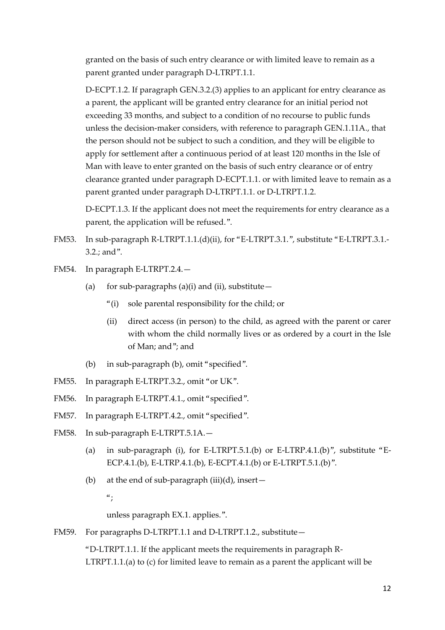granted on the basis of such entry clearance or with limited leave to remain as a parent granted under paragraph D-LTRPT.1.1.

D-ECPT.1.2. If paragraph GEN.3.2.(3) applies to an applicant for entry clearance as a parent, the applicant will be granted entry clearance for an initial period not exceeding 33 months, and subject to a condition of no recourse to public funds unless the decision-maker considers, with reference to paragraph GEN.1.11A., that the person should not be subject to such a condition, and they will be eligible to apply for settlement after a continuous period of at least 120 months in the Isle of Man with leave to enter granted on the basis of such entry clearance or of entry clearance granted under paragraph D-ECPT.1.1. or with limited leave to remain as a parent granted under paragraph D-LTRPT.1.1. or D-LTRPT.1.2.

D-ECPT.1.3. If the applicant does not meet the requirements for entry clearance as a parent, the application will be refused.".

- FM53. In sub-paragraph R-LTRPT.1.1.(d)(ii), for "E-LTRPT.3.1.", substitute "E-LTRPT.3.1.- 3.2.; and".
- FM54. In paragraph E-LTRPT.2.4.—
	- (a) for sub-paragraphs (a)(i) and (ii), substitute  $-$ 
		- "(i) sole parental responsibility for the child; or
		- (ii) direct access (in person) to the child, as agreed with the parent or carer with whom the child normally lives or as ordered by a court in the Isle of Man; and"; and
	- (b) in sub-paragraph (b), omit "specified".
- FM55. In paragraph E-LTRPT.3.2., omit "or UK".
- FM56. In paragraph E-LTRPT.4.1., omit "specified".
- FM57. In paragraph E-LTRPT.4.2., omit "specified".
- FM58. In sub-paragraph E-LTRPT.5.1A.—
	- (a) in sub-paragraph (i), for E-LTRPT.5.1.(b) or E-LTRP.4.1.(b)", substitute "E-ECP.4.1.(b), E-LTRP.4.1.(b), E-ECPT.4.1.(b) or E-LTRPT.5.1.(b)".
	- (b) at the end of sub-paragraph  $(iii)(d)$ , insert-

 $\mathcal{C}_{\mathcal{I}}$ 

unless paragraph EX.1. applies.".

FM59. For paragraphs D-LTRPT.1.1 and D-LTRPT.1.2., substitute—

"D-LTRPT.1.1. If the applicant meets the requirements in paragraph R-LTRPT.1.1.(a) to (c) for limited leave to remain as a parent the applicant will be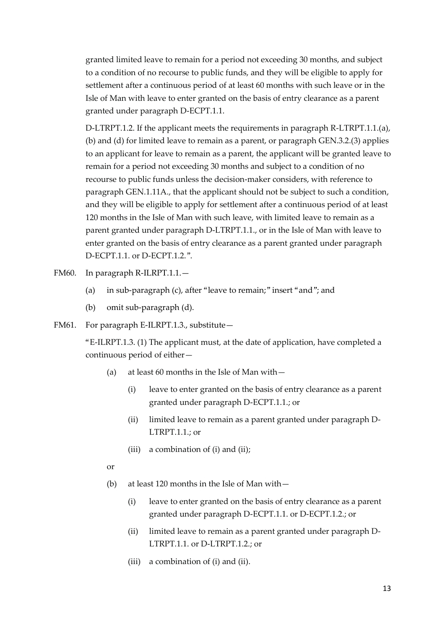granted limited leave to remain for a period not exceeding 30 months, and subject to a condition of no recourse to public funds, and they will be eligible to apply for settlement after a continuous period of at least 60 months with such leave or in the Isle of Man with leave to enter granted on the basis of entry clearance as a parent granted under paragraph D-ECPT.1.1.

D-LTRPT.1.2. If the applicant meets the requirements in paragraph R-LTRPT.1.1.(a), (b) and (d) for limited leave to remain as a parent, or paragraph GEN.3.2.(3) applies to an applicant for leave to remain as a parent, the applicant will be granted leave to remain for a period not exceeding 30 months and subject to a condition of no recourse to public funds unless the decision-maker considers, with reference to paragraph GEN.1.11A., that the applicant should not be subject to such a condition, and they will be eligible to apply for settlement after a continuous period of at least 120 months in the Isle of Man with such leave, with limited leave to remain as a parent granted under paragraph D-LTRPT.1.1., or in the Isle of Man with leave to enter granted on the basis of entry clearance as a parent granted under paragraph D-ECPT.1.1. or D-ECPT.1.2.".

- FM60. In paragraph R-ILRPT.1.1.—
	- (a) in sub-paragraph (c), after "leave to remain;" insert "and"; and
	- (b) omit sub-paragraph (d).
- FM61. For paragraph E-ILRPT.1.3., substitute—

"E-ILRPT.1.3. (1) The applicant must, at the date of application, have completed a continuous period of either—

- (a) at least 60 months in the Isle of Man with  $-$ 
	- (i) leave to enter granted on the basis of entry clearance as a parent granted under paragraph D-ECPT.1.1.; or
	- (ii) limited leave to remain as a parent granted under paragraph D-LTRPT.1.1.; or
	- (iii) a combination of  $(i)$  and  $(ii)$ ;
- or
- (b) at least 120 months in the Isle of Man with—
	- (i) leave to enter granted on the basis of entry clearance as a parent granted under paragraph D-ECPT.1.1. or D-ECPT.1.2.; or
	- (ii) limited leave to remain as a parent granted under paragraph D-LTRPT.1.1. or D-LTRPT.1.2.; or
	- (iii) a combination of (i) and (ii).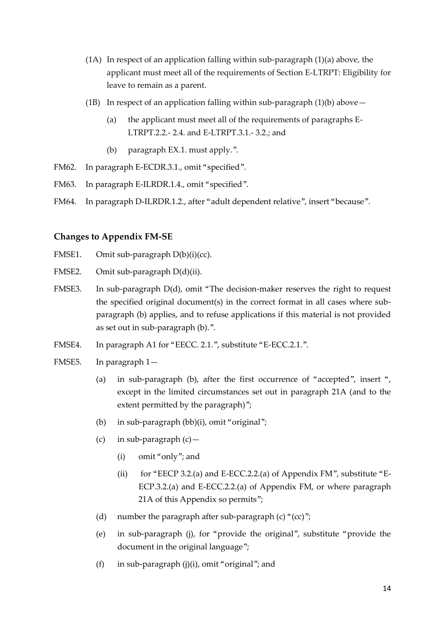- (1A) In respect of an application falling within sub-paragraph (1)(a) above, the applicant must meet all of the requirements of Section E-LTRPT: Eligibility for leave to remain as a parent.
- (1B) In respect of an application falling within sub-paragraph  $(1)(b)$  above
	- (a) the applicant must meet all of the requirements of paragraphs E-LTRPT.2.2.- 2.4. and E-LTRPT.3.1.- 3.2.; and
	- (b) paragraph EX.1. must apply.".
- FM62. In paragraph E-ECDR.3.1., omit "specified".
- FM63. In paragraph E-ILRDR.1.4., omit "specified".
- FM64. In paragraph D-ILRDR.1.2., after "adult dependent relative", insert "because".

# **Changes to Appendix FM-SE**

- FMSE1. Omit sub-paragraph D(b)(i)(cc).
- FMSE2. Omit sub-paragraph D(d)(ii).
- FMSE3. In sub-paragraph D(d), omit "The decision-maker reserves the right to request the specified original document(s) in the correct format in all cases where subparagraph (b) applies, and to refuse applications if this material is not provided as set out in sub-paragraph (b).".
- FMSE4. In paragraph A1 for "EECC. 2.1.", substitute "E-ECC.2.1.".
- FMSE5. In paragraph 1—
	- (a) in sub-paragraph (b), after the first occurrence of "accepted", insert ", except in the limited circumstances set out in paragraph 21A (and to the extent permitted by the paragraph)";
	- (b) in sub-paragraph (bb)(i), omit "original";
	- (c) in sub-paragraph  $(c)$ 
		- (i) omit "only"; and
		- (ii) for "EECP 3.2.(a) and E-ECC.2.2.(a) of Appendix FM", substitute "E-ECP.3.2.(a) and E-ECC.2.2.(a) of Appendix FM, or where paragraph 21A of this Appendix so permits";
	- (d) number the paragraph after sub-paragraph (c) "(cc)";
	- (e) in sub-paragraph (j), for "provide the original", substitute "provide the document in the original language";
	- (f) in sub-paragraph  $(j)(i)$ , omit "original"; and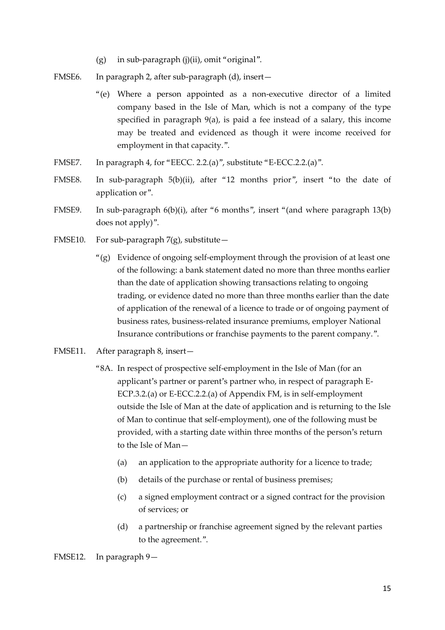- (g) in sub-paragraph (j)(ii), omit "original".
- FMSE6. In paragraph 2, after sub-paragraph (d), insert—
	- "(e) Where a person appointed as a non-executive director of a limited company based in the Isle of Man, which is not a company of the type specified in paragraph 9(a), is paid a fee instead of a salary, this income may be treated and evidenced as though it were income received for employment in that capacity.".
- FMSE7. In paragraph 4, for "EECC. 2.2.(a)", substitute "E-ECC.2.2.(a)".
- FMSE8. In sub-paragraph 5(b)(ii), after "12 months prior", insert "to the date of application or".
- FMSE9. In sub-paragraph 6(b)(i), after "6 months", insert "(and where paragraph 13(b) does not apply)".
- FMSE10. For sub-paragraph  $7(g)$ , substitute -
	- "(g) Evidence of ongoing self-employment through the provision of at least one of the following: a bank statement dated no more than three months earlier than the date of application showing transactions relating to ongoing trading, or evidence dated no more than three months earlier than the date of application of the renewal of a licence to trade or of ongoing payment of business rates, business-related insurance premiums, employer National Insurance contributions or franchise payments to the parent company.".
- FMSE11. After paragraph 8, insert—
	- "8A. In respect of prospective self-employment in the Isle of Man (for an applicant's partner or parent's partner who, in respect of paragraph E-ECP.3.2.(a) or E-ECC.2.2.(a) of Appendix FM, is in self-employment outside the Isle of Man at the date of application and is returning to the Isle of Man to continue that self-employment), one of the following must be provided, with a starting date within three months of the person's return to the Isle of Man—
		- (a) an application to the appropriate authority for a licence to trade;
		- (b) details of the purchase or rental of business premises;
		- (c) a signed employment contract or a signed contract for the provision of services; or
		- (d) a partnership or franchise agreement signed by the relevant parties to the agreement.".

FMSE12. In paragraph 9—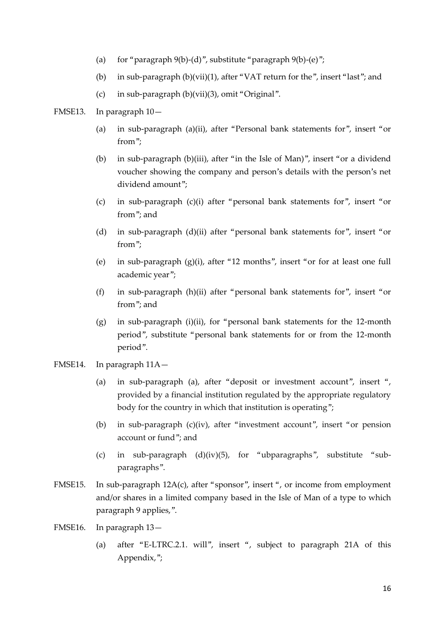- (a) for "paragraph  $9(b)-(d)$ ", substitute "paragraph  $9(b)-(e)$ ";
- (b) in sub-paragraph (b)(vii)(1), after "VAT return for the", insert "last"; and
- (c) in sub-paragraph (b)(vii)(3), omit "Original".
- FMSE13. In paragraph 10—
	- (a) in sub-paragraph (a)(ii), after "Personal bank statements for", insert "or from";
	- (b) in sub-paragraph (b)(iii), after "in the Isle of Man)", insert "or a dividend voucher showing the company and person's details with the person's net dividend amount";
	- (c) in sub-paragraph (c)(i) after "personal bank statements for", insert "or from"; and
	- (d) in sub-paragraph (d)(ii) after "personal bank statements for", insert "or from";
	- (e) in sub-paragraph (g)(i), after "12 months", insert "or for at least one full academic year";
	- (f) in sub-paragraph (h)(ii) after "personal bank statements for", insert "or from"; and
	- (g) in sub-paragraph (i)(ii), for "personal bank statements for the 12-month period", substitute "personal bank statements for or from the 12-month period".
- FMSE14. In paragraph 11A—
	- (a) in sub-paragraph (a), after "deposit or investment account", insert ", provided by a financial institution regulated by the appropriate regulatory body for the country in which that institution is operating";
	- (b) in sub-paragraph (c)(iv), after "investment account", insert "or pension account or fund"; and
	- (c) in sub-paragraph  $(d)(iv)(5)$ , for "ubparagraphs", substitute "subparagraphs".
- FMSE15. In sub-paragraph 12A(c), after "sponsor", insert ", or income from employment and/or shares in a limited company based in the Isle of Man of a type to which paragraph 9 applies,".
- FMSE16. In paragraph 13—
	- (a) after "E-LTRC.2.1. will", insert ", subject to paragraph 21A of this Appendix,";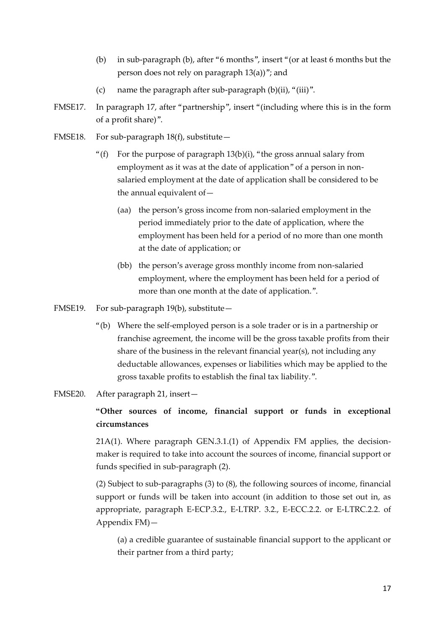- (b) in sub-paragraph (b), after "6 months", insert "(or at least 6 months but the person does not rely on paragraph 13(a))"; and
- (c) name the paragraph after sub-paragraph  $(b)(ii)$ , " $(iii)$ ".
- FMSE17. In paragraph 17, after "partnership", insert "(including where this is in the form of a profit share)".
- FMSE18. For sub-paragraph  $18(f)$ , substitute
	- "(f) For the purpose of paragraph  $13(b)(i)$ , "the gross annual salary from employment as it was at the date of application" of a person in nonsalaried employment at the date of application shall be considered to be the annual equivalent of—
		- (aa) the person's gross income from non-salaried employment in the period immediately prior to the date of application, where the employment has been held for a period of no more than one month at the date of application; or
		- (bb) the person's average gross monthly income from non-salaried employment, where the employment has been held for a period of more than one month at the date of application.".
- FMSE19. For sub-paragraph 19(b), substitute—
	- "(b) Where the self-employed person is a sole trader or is in a partnership or franchise agreement, the income will be the gross taxable profits from their share of the business in the relevant financial year(s), not including any deductable allowances, expenses or liabilities which may be applied to the gross taxable profits to establish the final tax liability.".
- FMSE20. After paragraph 21, insert—

# **"Other sources of income, financial support or funds in exceptional circumstances**

21A(1). Where paragraph GEN.3.1.(1) of Appendix FM applies, the decisionmaker is required to take into account the sources of income, financial support or funds specified in sub-paragraph (2).

(2) Subject to sub-paragraphs (3) to (8), the following sources of income, financial support or funds will be taken into account (in addition to those set out in, as appropriate, paragraph E-ECP.3.2., E-LTRP. 3.2., E-ECC.2.2. or E-LTRC.2.2. of Appendix FM)—

(a) a credible guarantee of sustainable financial support to the applicant or their partner from a third party;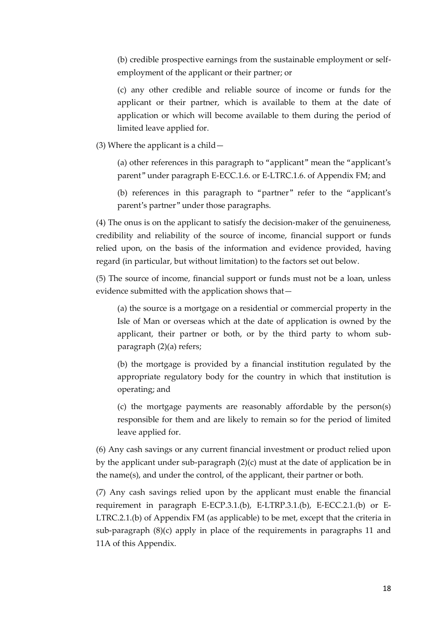(b) credible prospective earnings from the sustainable employment or selfemployment of the applicant or their partner; or

(c) any other credible and reliable source of income or funds for the applicant or their partner, which is available to them at the date of application or which will become available to them during the period of limited leave applied for.

(3) Where the applicant is a child  $-$ 

(a) other references in this paragraph to "applicant" mean the "applicant's parent" under paragraph E-ECC.1.6. or E-LTRC.1.6. of Appendix FM; and

(b) references in this paragraph to "partner" refer to the "applicant's parent's partner" under those paragraphs.

(4) The onus is on the applicant to satisfy the decision-maker of the genuineness, credibility and reliability of the source of income, financial support or funds relied upon, on the basis of the information and evidence provided, having regard (in particular, but without limitation) to the factors set out below.

(5) The source of income, financial support or funds must not be a loan, unless evidence submitted with the application shows that—

(a) the source is a mortgage on a residential or commercial property in the Isle of Man or overseas which at the date of application is owned by the applicant, their partner or both, or by the third party to whom subparagraph (2)(a) refers;

(b) the mortgage is provided by a financial institution regulated by the appropriate regulatory body for the country in which that institution is operating; and

(c) the mortgage payments are reasonably affordable by the person(s) responsible for them and are likely to remain so for the period of limited leave applied for.

(6) Any cash savings or any current financial investment or product relied upon by the applicant under sub-paragraph (2)(c) must at the date of application be in the name(s), and under the control, of the applicant, their partner or both.

(7) Any cash savings relied upon by the applicant must enable the financial requirement in paragraph E-ECP.3.1.(b), E-LTRP.3.1.(b), E-ECC.2.1.(b) or E-LTRC.2.1.(b) of Appendix FM (as applicable) to be met, except that the criteria in sub-paragraph (8)(c) apply in place of the requirements in paragraphs 11 and 11A of this Appendix.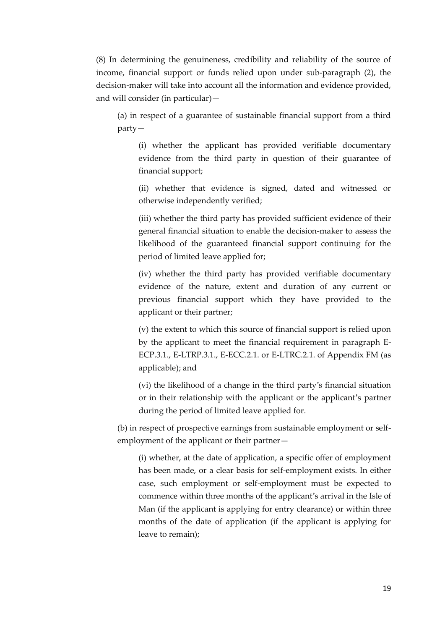(8) In determining the genuineness, credibility and reliability of the source of income, financial support or funds relied upon under sub-paragraph (2), the decision-maker will take into account all the information and evidence provided, and will consider (in particular)—

(a) in respect of a guarantee of sustainable financial support from a third party—

(i) whether the applicant has provided verifiable documentary evidence from the third party in question of their guarantee of financial support;

(ii) whether that evidence is signed, dated and witnessed or otherwise independently verified;

(iii) whether the third party has provided sufficient evidence of their general financial situation to enable the decision-maker to assess the likelihood of the guaranteed financial support continuing for the period of limited leave applied for;

(iv) whether the third party has provided verifiable documentary evidence of the nature, extent and duration of any current or previous financial support which they have provided to the applicant or their partner;

(v) the extent to which this source of financial support is relied upon by the applicant to meet the financial requirement in paragraph E-ECP.3.1., E-LTRP.3.1., E-ECC.2.1. or E-LTRC.2.1. of Appendix FM (as applicable); and

(vi) the likelihood of a change in the third party's financial situation or in their relationship with the applicant or the applicant's partner during the period of limited leave applied for.

(b) in respect of prospective earnings from sustainable employment or selfemployment of the applicant or their partner—

(i) whether, at the date of application, a specific offer of employment has been made, or a clear basis for self-employment exists. In either case, such employment or self-employment must be expected to commence within three months of the applicant's arrival in the Isle of Man (if the applicant is applying for entry clearance) or within three months of the date of application (if the applicant is applying for leave to remain);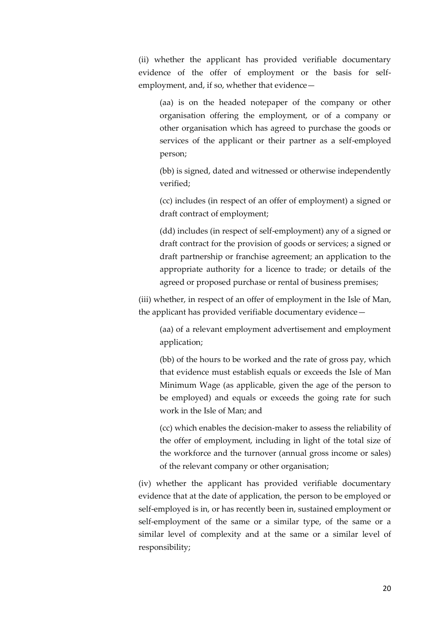(ii) whether the applicant has provided verifiable documentary evidence of the offer of employment or the basis for selfemployment, and, if so, whether that evidence—

(aa) is on the headed notepaper of the company or other organisation offering the employment, or of a company or other organisation which has agreed to purchase the goods or services of the applicant or their partner as a self-employed person;

(bb) is signed, dated and witnessed or otherwise independently verified;

(cc) includes (in respect of an offer of employment) a signed or draft contract of employment;

(dd) includes (in respect of self-employment) any of a signed or draft contract for the provision of goods or services; a signed or draft partnership or franchise agreement; an application to the appropriate authority for a licence to trade; or details of the agreed or proposed purchase or rental of business premises;

(iii) whether, in respect of an offer of employment in the Isle of Man, the applicant has provided verifiable documentary evidence—

(aa) of a relevant employment advertisement and employment application;

(bb) of the hours to be worked and the rate of gross pay, which that evidence must establish equals or exceeds the Isle of Man Minimum Wage (as applicable, given the age of the person to be employed) and equals or exceeds the going rate for such work in the Isle of Man; and

(cc) which enables the decision-maker to assess the reliability of the offer of employment, including in light of the total size of the workforce and the turnover (annual gross income or sales) of the relevant company or other organisation;

(iv) whether the applicant has provided verifiable documentary evidence that at the date of application, the person to be employed or self-employed is in, or has recently been in, sustained employment or self-employment of the same or a similar type, of the same or a similar level of complexity and at the same or a similar level of responsibility;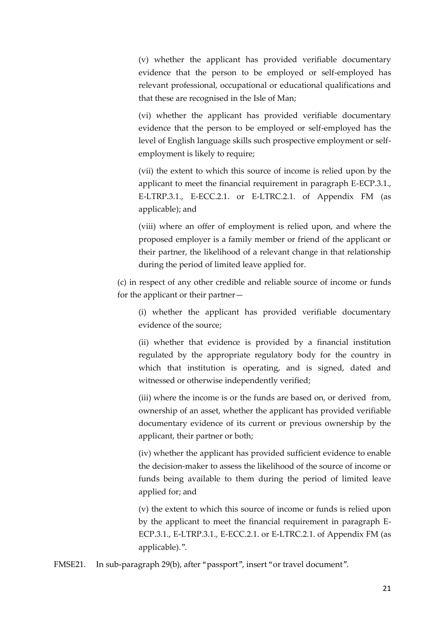(v) whether the applicant has provided verifiable documentary evidence that the person to be employed or self-employed has relevant professional, occupational or educational qualifications and that these are recognised in the Isle of Man;

(vi) whether the applicant has provided verifiable documentary evidence that the person to be employed or self-employed has the level of English language skills such prospective employment or selfemployment is likely to require;

(vii) the extent to which this source of income is relied upon by the applicant to meet the financial requirement in paragraph E-ECP.3.1., E-LTRP.3.1., E-ECC.2.1. or E-LTRC.2.1. of Appendix FM (as applicable); and

(viii) where an offer of employment is relied upon, and where the proposed employer is a family member or friend of the applicant or their partner, the likelihood of a relevant change in that relationship during the period of limited leave applied for.

(c) in respect of any other credible and reliable source of income or funds for the applicant or their partner—

(i) whether the applicant has provided verifiable documentary evidence of the source;

(ii) whether that evidence is provided by a financial institution regulated by the appropriate regulatory body for the country in which that institution is operating, and is signed, dated and witnessed or otherwise independently verified;

(iii) where the income is or the funds are based on, or derived from, ownership of an asset, whether the applicant has provided verifiable documentary evidence of its current or previous ownership by the applicant, their partner or both;

(iv) whether the applicant has provided sufficient evidence to enable the decision-maker to assess the likelihood of the source of income or funds being available to them during the period of limited leave applied for; and

(v) the extent to which this source of income or funds is relied upon by the applicant to meet the financial requirement in paragraph E-ECP.3.1., E-LTRP.3.1., E-ECC.2.1. or E-LTRC.2.1. of Appendix FM (as applicable).".

FMSE21. In sub-paragraph 29(b), after "passport", insert "or travel document".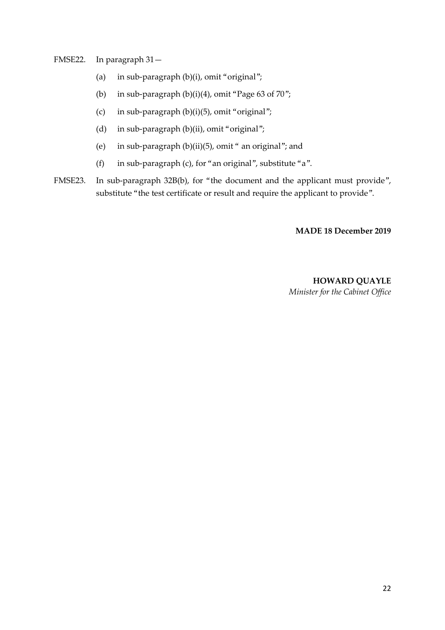### FMSE22. In paragraph 31—

- (a) in sub-paragraph (b)(i), omit "original";
- (b) in sub-paragraph (b)(i)(4), omit "Page 63 of 70";
- (c) in sub-paragraph  $(b)(i)(5)$ , omit "original";
- (d) in sub-paragraph (b)(ii), omit "original";
- (e) in sub-paragraph  $(b)(ii)(5)$ , omit " an original"; and
- (f) in sub-paragraph (c), for "an original", substitute "a".
- FMSE23. In sub-paragraph 32B(b), for "the document and the applicant must provide", substitute "the test certificate or result and require the applicant to provide".

## **MADE 18 December 2019**

## **HOWARD QUAYLE** *Minister for the Cabinet Office*